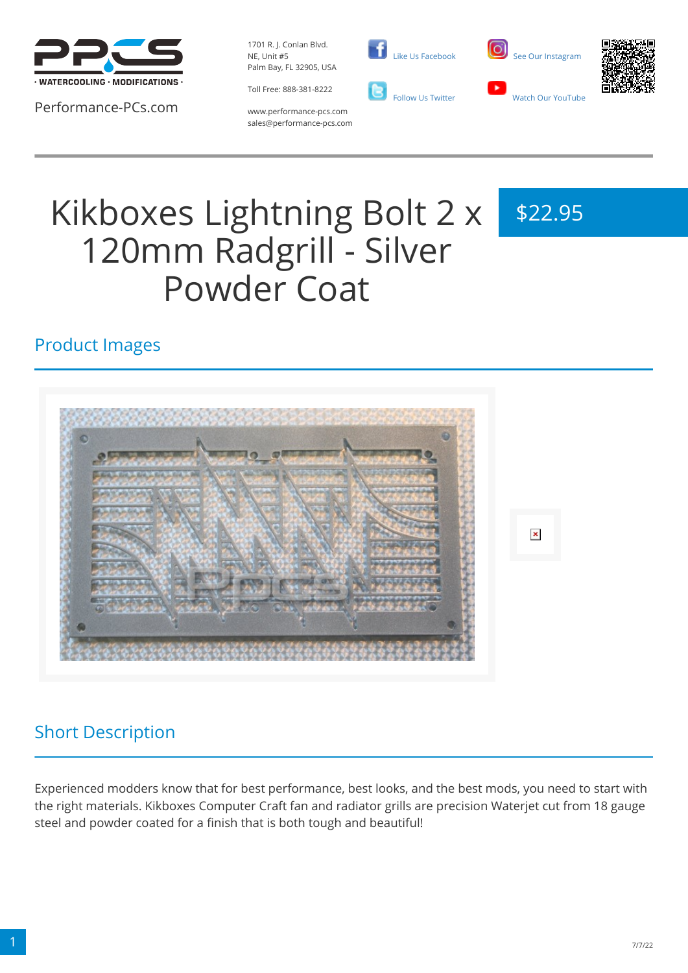

Performance-PCs.com

1701 R. J. Conlan Blvd. NE, Unit #5 Palm Bay, FL 32905, USA

Toll Free: 888-381-8222







www.performance-pcs.com sales@performance-pcs.com

# Kikboxes Lightning Bolt 2 x 120mm Radgrill - Silver Powder Coat

## \$22.95

#### Product Images



#### Short Description

Experienced modders know that for best performance, best looks, and the best mods, you need to start with the right materials. Kikboxes Computer Craft fan and radiator grills are precision Waterjet cut from 18 gauge steel and powder coated for a finish that is both tough and beautiful!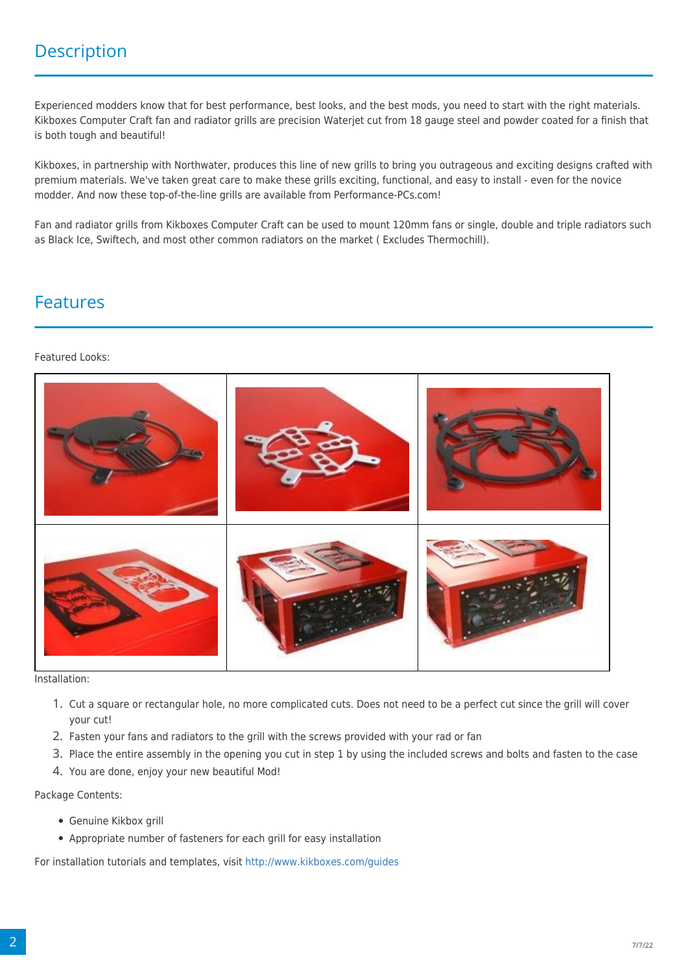Experienced modders know that for best performance, best looks, and the best mods, you need to start with the right materials. Kikboxes Computer Craft fan and radiator grills are precision Waterjet cut from 18 gauge steel and powder coated for a finish that is both tough and beautiful!

Kikboxes, in partnership with Northwater, produces this line of new grills to bring you outrageous and exciting designs crafted with premium materials. We've taken great care to make these grills exciting, functional, and easy to install - even for the novice modder. And now these top-of-the-line grills are available from Performance-PCs.com!

Fan and radiator grills from Kikboxes Computer Craft can be used to mount 120mm fans or single, double and triple radiators such as Black Ice, Swiftech, and most other common radiators on the market ( Excludes Thermochill).

#### Features

#### Featured Looks:



Installation:

- 1. Cut a square or rectangular hole, no more complicated cuts. Does not need to be a perfect cut since the grill will cover your cut!
- 2. Fasten your fans and radiators to the grill with the screws provided with your rad or fan
- 3. Place the entire assembly in the opening you cut in step 1 by using the included screws and bolts and fasten to the case
- 4. You are done, enjoy your new beautiful Mod!

Package Contents:

- Genuine Kikbox grill
- Appropriate number of fasteners for each grill for easy installation

For installation tutorials and templates, visit<http://www.kikboxes.com/guides>